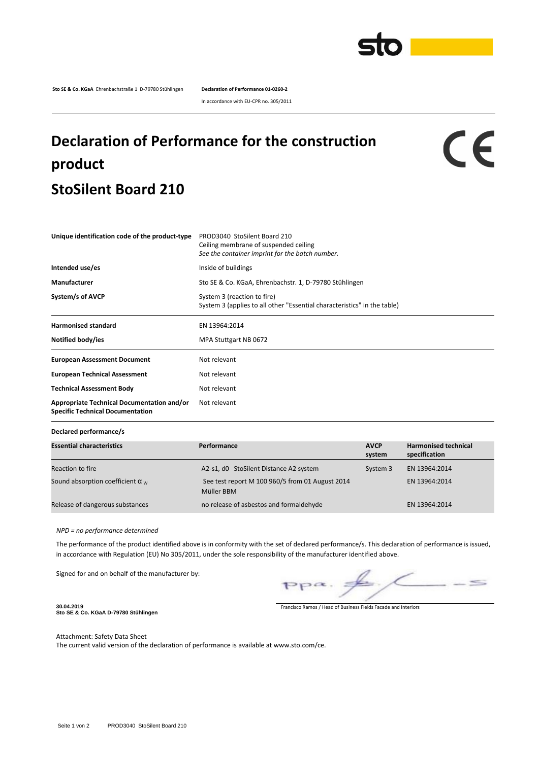

**Sto SE & Co. KGaA** Ehrenbachstraße 1 D-79780 Stühlingen **Declaration of Performance 01-0260-2**

In accordance with EU-CPR no. 305/2011

## **Declaration of Performance for the construction product StoSilent Board 210**

CE

| Unique identification code of the product-type                                               | PROD3040 StoSilent Board 210<br>Ceiling membrane of suspended ceiling<br>See the container imprint for the batch number. |  |  |
|----------------------------------------------------------------------------------------------|--------------------------------------------------------------------------------------------------------------------------|--|--|
| Intended use/es                                                                              | Inside of buildings                                                                                                      |  |  |
| Manufacturer                                                                                 | Sto SE & Co. KGaA, Ehrenbachstr. 1, D-79780 Stühlingen                                                                   |  |  |
| System/s of AVCP                                                                             | System 3 (reaction to fire)<br>System 3 (applies to all other "Essential characteristics" in the table)                  |  |  |
| <b>Harmonised standard</b>                                                                   | EN 13964:2014                                                                                                            |  |  |
| Notified body/ies                                                                            | MPA Stuttgart NB 0672                                                                                                    |  |  |
| <b>European Assessment Document</b>                                                          | Not relevant                                                                                                             |  |  |
| <b>European Technical Assessment</b>                                                         | Not relevant                                                                                                             |  |  |
| <b>Technical Assessment Body</b>                                                             | Not relevant                                                                                                             |  |  |
| <b>Appropriate Technical Documentation and/or</b><br><b>Specific Technical Documentation</b> | Not relevant                                                                                                             |  |  |

**Declared performance/s**

| <b>Essential characteristics</b>        | Performance                                                   | <b>AVCP</b><br>system | <b>Harmonised technical</b><br>specification |
|-----------------------------------------|---------------------------------------------------------------|-----------------------|----------------------------------------------|
| Reaction to fire                        | A2-s1, d0 StoSilent Distance A2 system                        | System 3              | EN 13964:2014                                |
| Sound absorption coefficient $\alpha_w$ | See test report M 100 960/5 from 01 August 2014<br>Müller BBM |                       | EN 13964:2014                                |
| Release of dangerous substances         | no release of asbestos and formaldehyde                       |                       | EN 13964:2014                                |

*NPD = no performance determined*

The performance of the product identified above is in conformity with the set of declared performance/s. This declaration of performance is issued, in accordance with Regulation (EU) No 305/2011, under the sole responsibility of the manufacturer identified above.

Signed for and on behalf of the manufacturer by:

 $\leq$  $pp\alpha$ .

**30.04.2019 Sto SE & Co. KGaA D-79780 Stühlingen**

Francisco Ramos / Head of Business Fields Facade and Interiors

Attachment: Safety Data Sheet The current valid version of the declaration of performance is available at www.sto.com/ce.